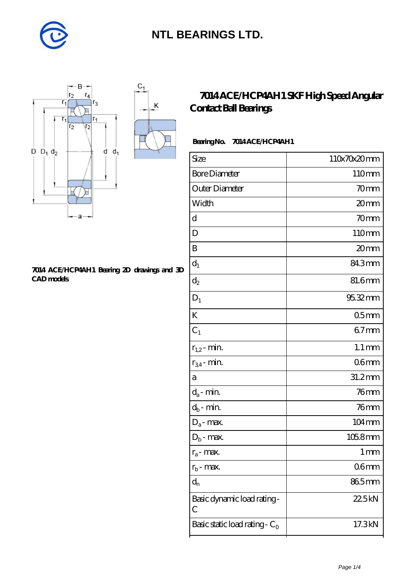

K



#### **[7014 ACE/HCP4AH1 Bearing 2D drawings and 3D](https://diabetesfriends.net/pic-590847.html) [CAD models](https://diabetesfriends.net/pic-590847.html)**

### **[7014 ACE/HCP4AH1 SKF High Speed Angular](https://diabetesfriends.net/skf-bearing/7014-ace-hcp4ah1.html) [Contact Ball Bearings](https://diabetesfriends.net/skf-bearing/7014-ace-hcp4ah1.html)**

### Bearing No. 7014 ACE/HCP4AH1

| Size                             |                     |
|----------------------------------|---------------------|
|                                  | 110x70x20mm         |
| <b>Bore Diameter</b>             | 110mm               |
| Outer Diameter                   | 70 <sub>mm</sub>    |
| Width                            | 20mm                |
| d                                | 70mm                |
| D                                | 110mm               |
| B                                | 20mm                |
| $d_1$                            | 843mm               |
| $\mathrm{d}_2$                   | 81.6mm              |
| $D_1$                            | 95.32mm             |
| K                                | 05 <sub>mm</sub>    |
| $C_1$                            | $67$ mm             |
| $r_{1,2}$ - min.                 | $1.1 \,\mathrm{mm}$ |
| $r_{34}$ - min.                  | 06mm                |
| a                                | 31.2mm              |
| $d_a$ - min.                     | $76$ mm             |
| $d_b\operatorname{-} \min$       | $76$ mm             |
| $D_a$ - max.                     | 104mm               |
| $D_b$ - max.                     | 105.8mm             |
| $r_a$ - max.                     | 1 mm                |
| $r_{b}$ - max.                   | 06 <sub>mm</sub>    |
| $d_{n}$                          | 865mm               |
| Basic dynamic load rating-<br>С  | 22.5kN              |
| Basic static load rating - $C_0$ | 17.3kN              |
|                                  |                     |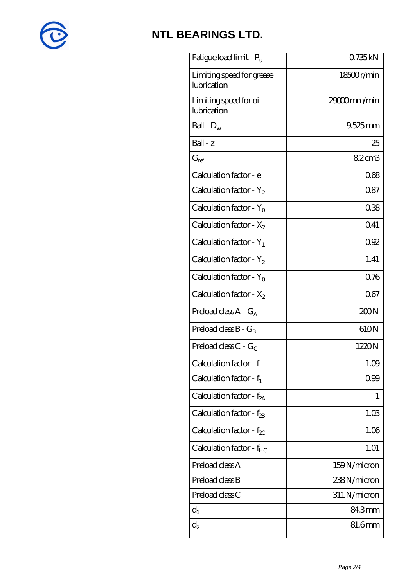

| Fatigue load limit - P <sub>u</sub>      | 0.735kN      |
|------------------------------------------|--------------|
| Limiting speed for grease<br>lubrication | 18500r/min   |
| Limiting speed for oil<br>lubrication    | 29000mm/min  |
| Ball - $D_w$                             | $9.525$ mm   |
| $Ball - z$                               | 25           |
| $G_{ref}$                                | 82cm3        |
| Calculation factor - e                   | 068          |
| Calculation factor - $Y_2$               | 087          |
| Calculation factor - $Y_0$               | 038          |
| Calculation factor - $X_2$               | Q41          |
| Calculation factor - $Y_1$               | 092          |
| Calculation factor - $Y_2$               | 1.41         |
| Calculation factor - $Y_0$               | 076          |
| Calculation factor - $X_2$               | 067          |
| Preload class A - G <sub>A</sub>         | 200N         |
| Preload class $B - G_B$                  | 610N         |
| Preload class C - $G_C$                  | 1220N        |
| Calculation factor - f                   | 1.09         |
| Calculation factor - $f_1$               | 0.99         |
| Calculation factor - f <sub>2A</sub>     | 1            |
| Calculation factor - $f_{\mathcal{B}}$   | 1.03         |
| Calculation factor - $f_{\chi}$          | 1.06         |
| Calculation factor - f <sub>HC</sub>     | 1.01         |
| Preload class A                          | 159N/micron  |
| Preload class B                          | 238N/micron  |
| Preload class C                          | 311 N/micron |
| $d_1$                                    | 84.3mm       |
| $d_2$                                    | 81.6mm       |
|                                          |              |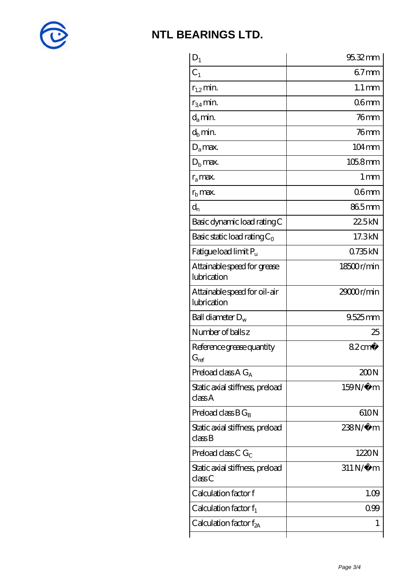

| $D_1$                                         | 95.32mm                |
|-----------------------------------------------|------------------------|
| $C_1$                                         | $67$ mm                |
| $r_{1,2}$ min.                                | $1.1 \,\mathrm{mm}$    |
| $r_{34}$ min.                                 | 06 <sub>mm</sub>       |
| $d_{a}$ min.                                  | 76 <sub>mm</sub>       |
| $d_h$ min.                                    | $76$ mm                |
| $D_a$ max.                                    | 104mm                  |
| $Db$ max.                                     | 105.8mm                |
| $r_a$ max.                                    | $1 \,\mathrm{mm}$      |
| $r_{\rm b}$ max.                              | 06 <sub>mm</sub>       |
| $d_{n}$                                       | 865mm                  |
| Basic dynamic load rating C                   | 22.5kN                 |
| Basic static load rating $C_0$                | 17.3kN                 |
| Fatigue load limit Pu                         | 0735kN                 |
| Attainable speed for grease<br>lubrication    | 18500r/min             |
| Attainable speed for oil-air<br>lubrication   | 29000r/min             |
| Ball diameter $D_w$                           | 9.525mm                |
| Number of balls z                             | 25                     |
| Reference grease quantity<br>$G_{\text{ref}}$ | $82 \text{cm}^3$       |
| Preload class $A G_A$                         | 200N                   |
| Static axial stiffness, preload<br>classA     | 159N/μ m               |
| Preload class $BG_B$                          | 610N                   |
| Static axial stiffness, preload<br>classB     | 238N/µ m               |
| Preload class C $G_C$                         | 1220N                  |
| Static axial stiffness, preload<br>classC     | $311\,\mathrm{N}\mu$ m |
| Calculation factor f                          | 1.09                   |
| Calculation factor $f_1$                      | 099                    |
| C alculation factor $f_{2A}$                  | 1                      |
|                                               |                        |